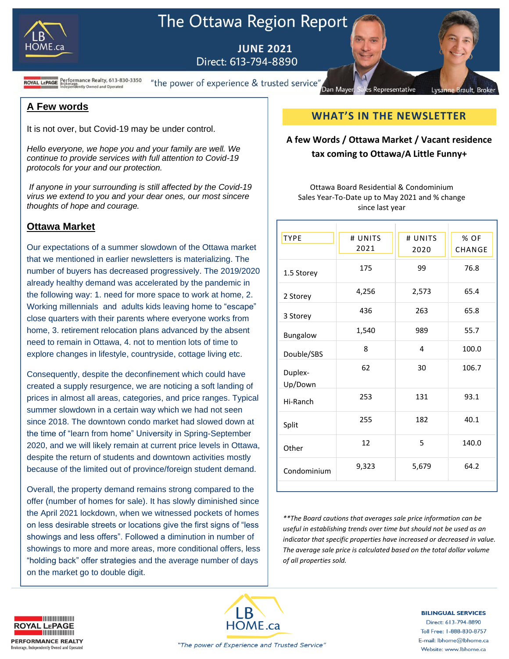

# The Ottawa Region Report

**JUNE 2021** Direct: 613-794-8890

**ROYAL LEPAGE** Brokerage.<br>ROYAL LEPAGE Brokerage.<br>Independently Owned and Operated

"the power of experience & trusted service"

#### **A Few words**

It is not over, but Covid-19 may be under control.

*Hello everyone, we hope you and your family are well. We continue to provide services with full attention to Covid-19 protocols for your and our protection.*

*If anyone in your surrounding is still affected by the Covid-19 virus we extend to you and your dear ones, our most sincere thoughts of hope and courage.* 

### **Ottawa Market**

Our expectations of a summer slowdown of the Ottawa market that we mentioned in earlier newsletters is materializing. The number of buyers has decreased progressively. The 2019/2020 already healthy demand was accelerated by the pandemic in the following way: 1. need for more space to work at home, 2. Working millennials and adults kids leaving home to "escape" close quarters with their parents where everyone works from home, 3. retirement relocation plans advanced by the absent need to remain in Ottawa, 4. not to mention lots of time to explore changes in lifestyle, countryside, cottage living etc.

Consequently, despite the deconfinement which could have created a supply resurgence, we are noticing a soft landing of prices in almost all areas, categories, and price ranges. Typical summer slowdown in a certain way which we had not seen since 2018. The downtown condo market had slowed down at the time of "learn from home" University in Spring-September 2020, and we will likely remain at current price levels in Ottawa, despite the return of students and downtown activities mostly because of the limited out of province/foreign student demand.

Overall, the property demand remains strong compared to the offer (number of homes for sale). It has slowly diminished since the April 2021 lockdown, when we witnessed pockets of homes on less desirable streets or locations give the first signs of "less showings and less offers". Followed a diminution in number of showings to more and more areas, more conditional offers, less "holding back" offer strategies and the average number of days on the market go to double digit.

# **WHAT'S IN THE NEWSLETTER**

Representative

Lysann

**Brault**, Broke

Dan Mayer

# **A few Words / Ottawa Market / Vacant residence tax coming to Ottawa/A Little Funny+**

Ottawa Board Residential & Condominium Sales Year-To-Date up to May 2021 and % change since last year

| <b>TYPE</b>        | # UNITS<br>2021 | # UNITS<br>2020 | % OF<br>CHANGE |
|--------------------|-----------------|-----------------|----------------|
| 1.5 Storey         | 175             | 99              | 76.8           |
| 2 Storey           | 4,256           | 2,573           | 65.4           |
| 3 Storey           | 436             | 263             | 65.8           |
| Bungalow           | 1,540           | 989             | 55.7           |
| Double/SBS         | 8               | 4               | 100.0          |
| Duplex-<br>Up/Down | 62              | 30              | 106.7          |
| Hi-Ranch           | 253             | 131             | 93.1           |
| Split              | 255             | 182             | 40.1           |
| Other              | 12              | 5               | 140.0          |
| Condominium        | 9,323           | 5,679           | 64.2           |
|                    |                 |                 |                |

*\*\*The Board cautions that averages sale price information can be useful in establishing trends over time but should not be used as an indicator that specific properties have increased or decreased in value. The average sale price is calculated based on the total dollar volume of all properties sold.*



**BILINGUAL SERVICES** Direct: 613-794-8890 Toll Free: 1-888-830-8757 E-mail: lbhome@lbhome.ca

Website: www.lbhome.ca



"The power of Experience and Trusted Service"